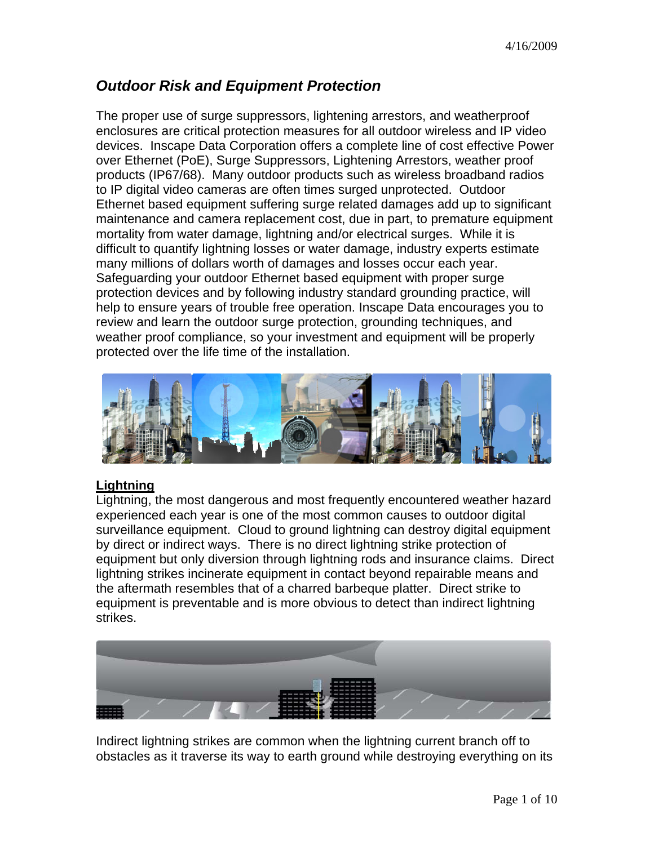# *Outdoor Risk and Equipment Protection*

The proper use of surge suppressors, lightening arrestors, and weatherproof enclosures are critical protection measures for all outdoor wireless and IP video devices. Inscape Data Corporation offers a complete line of cost effective Power over Ethernet (PoE), Surge Suppressors, Lightening Arrestors, weather proof products (IP67/68). Many outdoor products such as wireless broadband radios to IP digital video cameras are often times surged unprotected. Outdoor Ethernet based equipment suffering surge related damages add up to significant maintenance and camera replacement cost, due in part, to premature equipment mortality from water damage, lightning and/or electrical surges. While it is difficult to quantify lightning losses or water damage, industry experts estimate many millions of dollars worth of damages and losses occur each year. Safeguarding your outdoor Ethernet based equipment with proper surge protection devices and by following industry standard grounding practice, will help to ensure years of trouble free operation. Inscape Data encourages you to review and learn the outdoor surge protection, grounding techniques, and weather proof compliance, so your investment and equipment will be properly protected over the life time of the installation.



### **Lightning**

Lightning, the most dangerous and most frequently encountered weather hazard experienced each year is one of the most common causes to outdoor digital surveillance equipment. Cloud to ground lightning can destroy digital equipment by direct or indirect ways. There is no direct lightning strike protection of equipment but only diversion through lightning rods and insurance claims. Direct lightning strikes incinerate equipment in contact beyond repairable means and the aftermath resembles that of a charred barbeque platter. Direct strike to equipment is preventable and is more obvious to detect than indirect lightning strikes.



Indirect lightning strikes are common when the lightning current branch off to obstacles as it traverse its way to earth ground while destroying everything on its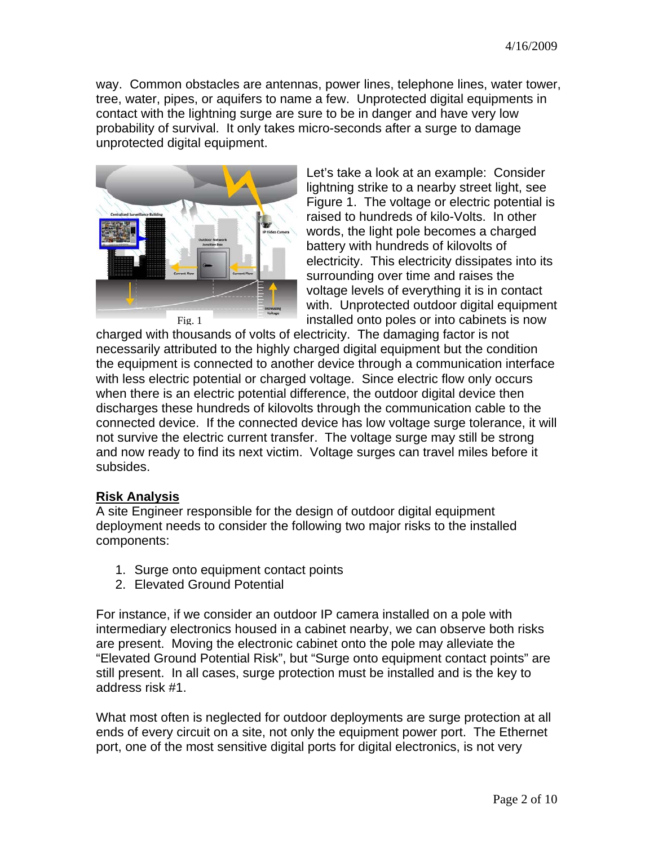way. Common obstacles are antennas, power lines, telephone lines, water tower, tree, water, pipes, or aquifers to name a few. Unprotected digital equipments in contact with the lightning surge are sure to be in danger and have very low probability of survival. It only takes micro-seconds after a surge to damage unprotected digital equipment.



Let's take a look at an example: Consider lightning strike to a nearby street light, see Figure 1. The voltage or electric potential is raised to hundreds of kilo-Volts. In other words, the light pole becomes a charged battery with hundreds of kilovolts of electricity. This electricity dissipates into its surrounding over time and raises the voltage levels of everything it is in contact with. Unprotected outdoor digital equipment installed onto poles or into cabinets is now

charged with thousands of volts of electricity. The damaging factor is not necessarily attributed to the highly charged digital equipment but the condition the equipment is connected to another device through a communication interface with less electric potential or charged voltage. Since electric flow only occurs when there is an electric potential difference, the outdoor digital device then discharges these hundreds of kilovolts through the communication cable to the connected device. If the connected device has low voltage surge tolerance, it will not survive the electric current transfer. The voltage surge may still be strong and now ready to find its next victim. Voltage surges can travel miles before it subsides.

### **Risk Analysis**

A site Engineer responsible for the design of outdoor digital equipment deployment needs to consider the following two major risks to the installed components:

- 1. Surge onto equipment contact points
- 2. Elevated Ground Potential

For instance, if we consider an outdoor IP camera installed on a pole with intermediary electronics housed in a cabinet nearby, we can observe both risks are present. Moving the electronic cabinet onto the pole may alleviate the "Elevated Ground Potential Risk", but "Surge onto equipment contact points" are still present. In all cases, surge protection must be installed and is the key to address risk #1.

What most often is neglected for outdoor deployments are surge protection at all ends of every circuit on a site, not only the equipment power port. The Ethernet port, one of the most sensitive digital ports for digital electronics, is not very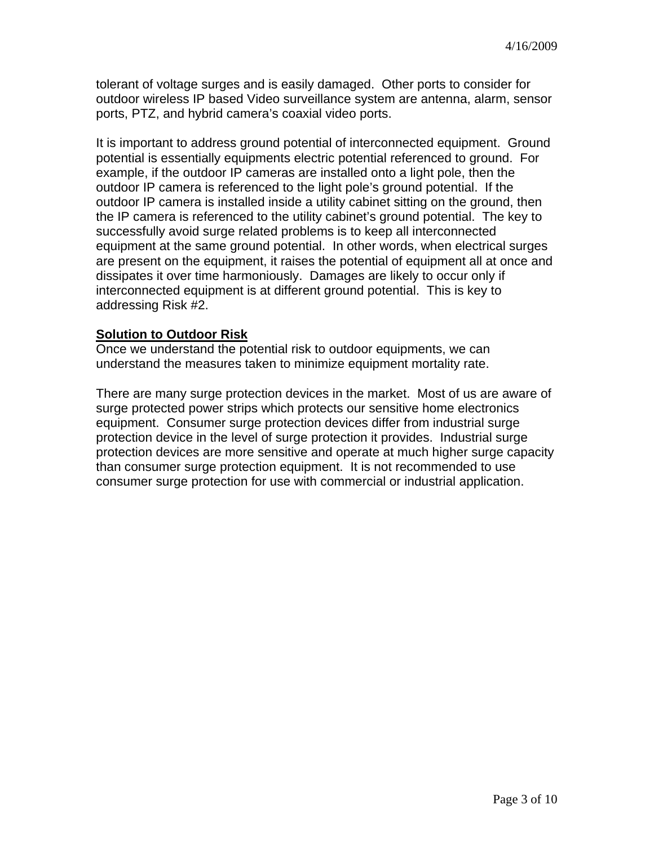tolerant of voltage surges and is easily damaged. Other ports to consider for outdoor wireless IP based Video surveillance system are antenna, alarm, sensor ports, PTZ, and hybrid camera's coaxial video ports.

It is important to address ground potential of interconnected equipment. Ground potential is essentially equipments electric potential referenced to ground. For example, if the outdoor IP cameras are installed onto a light pole, then the outdoor IP camera is referenced to the light pole's ground potential. If the outdoor IP camera is installed inside a utility cabinet sitting on the ground, then the IP camera is referenced to the utility cabinet's ground potential. The key to successfully avoid surge related problems is to keep all interconnected equipment at the same ground potential. In other words, when electrical surges are present on the equipment, it raises the potential of equipment all at once and dissipates it over time harmoniously. Damages are likely to occur only if interconnected equipment is at different ground potential. This is key to addressing Risk #2.

#### **Solution to Outdoor Risk**

Once we understand the potential risk to outdoor equipments, we can understand the measures taken to minimize equipment mortality rate.

There are many surge protection devices in the market. Most of us are aware of surge protected power strips which protects our sensitive home electronics equipment. Consumer surge protection devices differ from industrial surge protection device in the level of surge protection it provides. Industrial surge protection devices are more sensitive and operate at much higher surge capacity than consumer surge protection equipment. It is not recommended to use consumer surge protection for use with commercial or industrial application.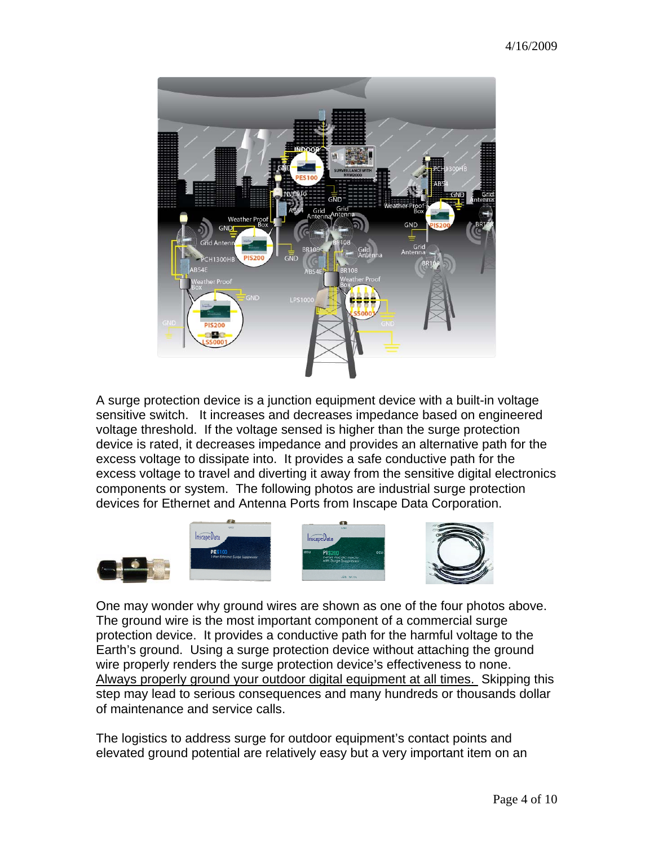

A surge protection device is a junction equipment device with a built-in voltage sensitive switch. It increases and decreases impedance based on engineered voltage threshold. If the voltage sensed is higher than the surge protection device is rated, it decreases impedance and provides an alternative path for the excess voltage to dissipate into. It provides a safe conductive path for the excess voltage to travel and diverting it away from the sensitive digital electronics components or system. The following photos are industrial surge protection devices for Ethernet and Antenna Ports from Inscape Data Corporation.









One may wonder why ground wires are shown as one of the four photos above. The ground wire is the most important component of a commercial surge protection device. It provides a conductive path for the harmful voltage to the Earth's ground. Using a surge protection device without attaching the ground wire properly renders the surge protection device's effectiveness to none. Always properly ground your outdoor digital equipment at all times. Skipping this step may lead to serious consequences and many hundreds or thousands dollar of maintenance and service calls.

The logistics to address surge for outdoor equipment's contact points and elevated ground potential are relatively easy but a very important item on an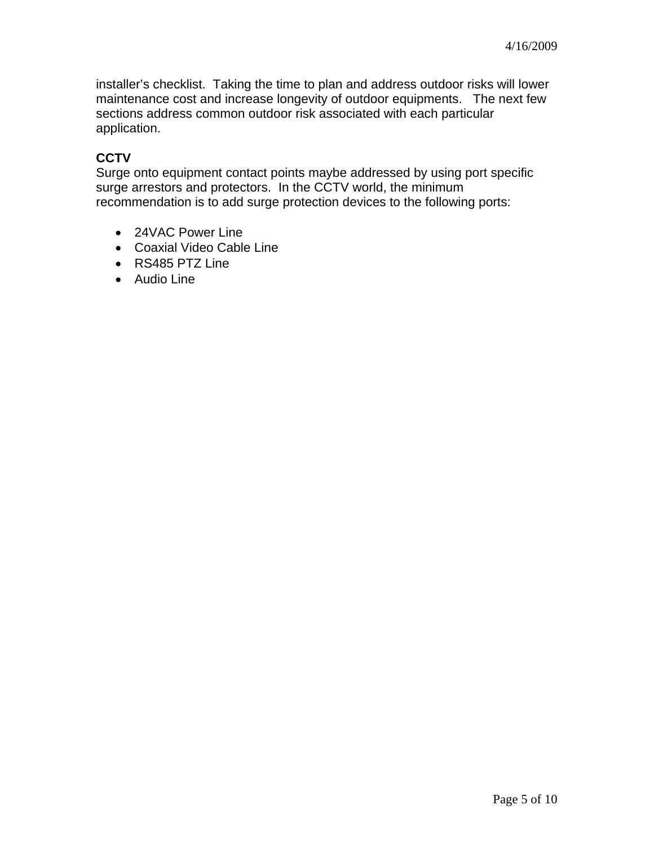installer's checklist. Taking the time to plan and address outdoor risks will lower maintenance cost and increase longevity of outdoor equipments. The next few sections address common outdoor risk associated with each particular application.

# **CCTV**

Surge onto equipment contact points maybe addressed by using port specific surge arrestors and protectors. In the CCTV world, the minimum recommendation is to add surge protection devices to the following ports:

- 24VAC Power Line
- Coaxial Video Cable Line
- RS485 PTZ Line
- Audio Line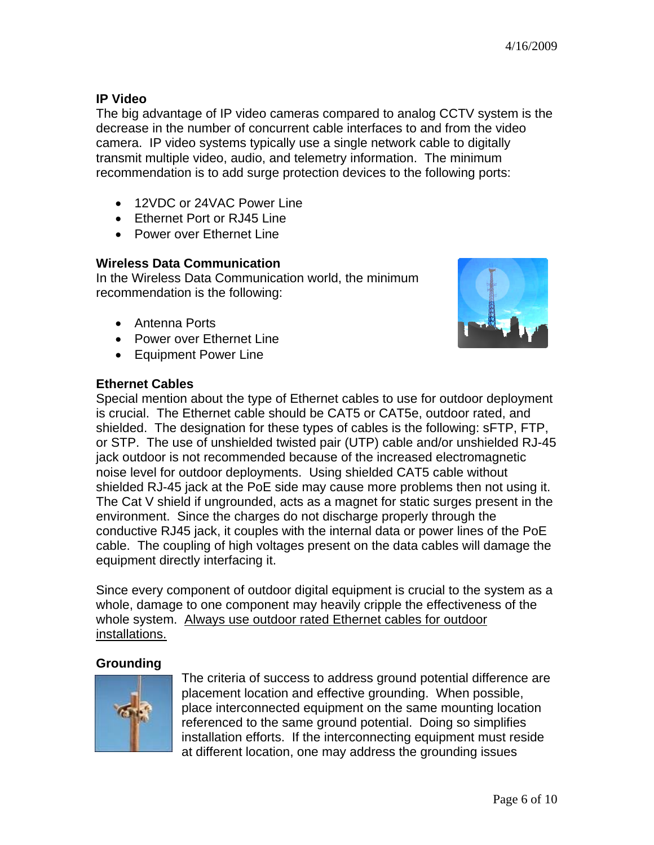## **IP Video**

The big advantage of IP video cameras compared to analog CCTV system is the decrease in the number of concurrent cable interfaces to and from the video camera. IP video systems typically use a single network cable to digitally transmit multiple video, audio, and telemetry information. The minimum recommendation is to add surge protection devices to the following ports:

- 12VDC or 24VAC Power Line
- Ethernet Port or RJ45 Line
- Power over Ethernet Line

## **Wireless Data Communication**

In the Wireless Data Communication world, the minimum recommendation is the following:

- Antenna Ports
- Power over Ethernet Line
- Equipment Power Line



### **Ethernet Cables**

Special mention about the type of Ethernet cables to use for outdoor deployment is crucial. The Ethernet cable should be CAT5 or CAT5e, outdoor rated, and shielded. The designation for these types of cables is the following: sFTP, FTP, or STP. The use of unshielded twisted pair (UTP) cable and/or unshielded RJ-45 jack outdoor is not recommended because of the increased electromagnetic noise level for outdoor deployments. Using shielded CAT5 cable without shielded RJ-45 jack at the PoE side may cause more problems then not using it. The Cat V shield if ungrounded, acts as a magnet for static surges present in the environment. Since the charges do not discharge properly through the conductive RJ45 jack, it couples with the internal data or power lines of the PoE cable. The coupling of high voltages present on the data cables will damage the equipment directly interfacing it.

Since every component of outdoor digital equipment is crucial to the system as a whole, damage to one component may heavily cripple the effectiveness of the whole system. Always use outdoor rated Ethernet cables for outdoor installations.

## **Grounding**



The criteria of success to address ground potential difference are placement location and effective grounding. When possible, place interconnected equipment on the same mounting loc ation referenced to the same ground potential. Doing so simplifies installation efforts. If the interconnecting equipment must reside at different location, one may address the grounding issues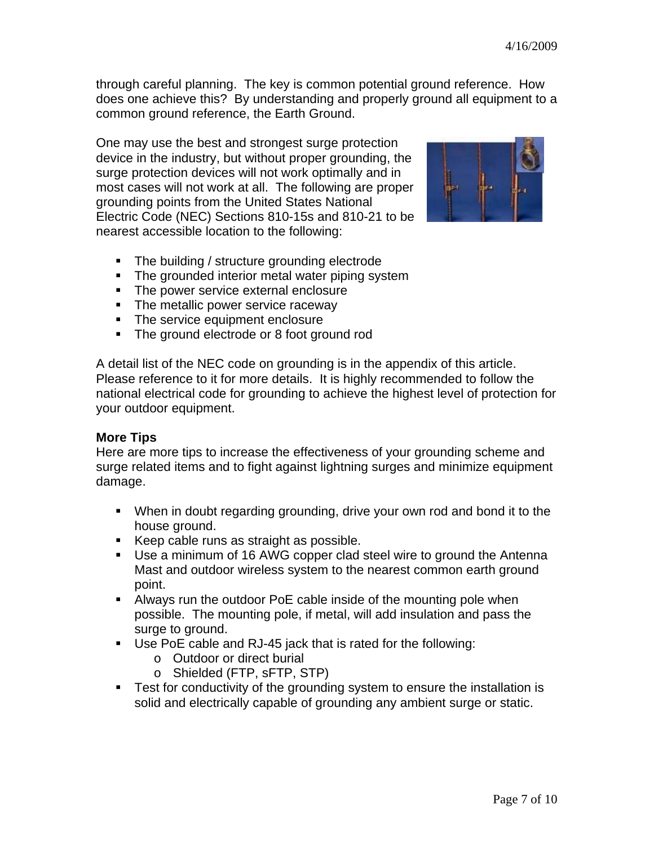through careful planning. The key is common potential ground reference. How does one achieve this? By understanding and properly ground all equipment to a common ground reference, the Earth Ground.

One may use the best and strongest surge protection device in the industry, but without proper grounding, the surge protection devices will not work optimally and in most cases will not work at all. The following are proper grounding points from the United States National Electric Code (NEC) Sections 810-15s and 810-21 to be nearest accessible location to the following:



- The building / structure grounding electrode
- The grounded interior metal water piping system
- **The power service external enclosure**
- The metallic power service raceway
- The service equipment enclosure
- The ground electrode or 8 foot ground rod

A detail list of the NEC code on grounding is in the appendix of this article. Please reference to it for more details. It is highly recommended to follow the national electrical code for grounding to achieve the highest level of protection for your outdoor equipment.

## **More Tips**

Here are more tips to increase the effectiveness of your grounding scheme and surge related items and to fight against lightning surges and minimize equipment damage.

- When in doubt regarding grounding, drive your own rod and bond it to the house ground.
- Keep cable runs as straight as possible.
- Use a minimum of 16 AWG copper clad steel wire to ground the Antenna Mast and outdoor wireless system to the nearest common earth ground point.
- Always run the outdoor PoE cable inside of the mounting pole when possible. The mounting pole, if metal, will add insulation and pass the surge to ground.
- Use PoE cable and RJ-45 jack that is rated for the following:
	- o Outdoor or direct burial
	- o Shielded (FTP, sFTP, STP)
- **Test for conductivity of the grounding system to ensure the installation is** solid and electrically capable of grounding any ambient surge or static.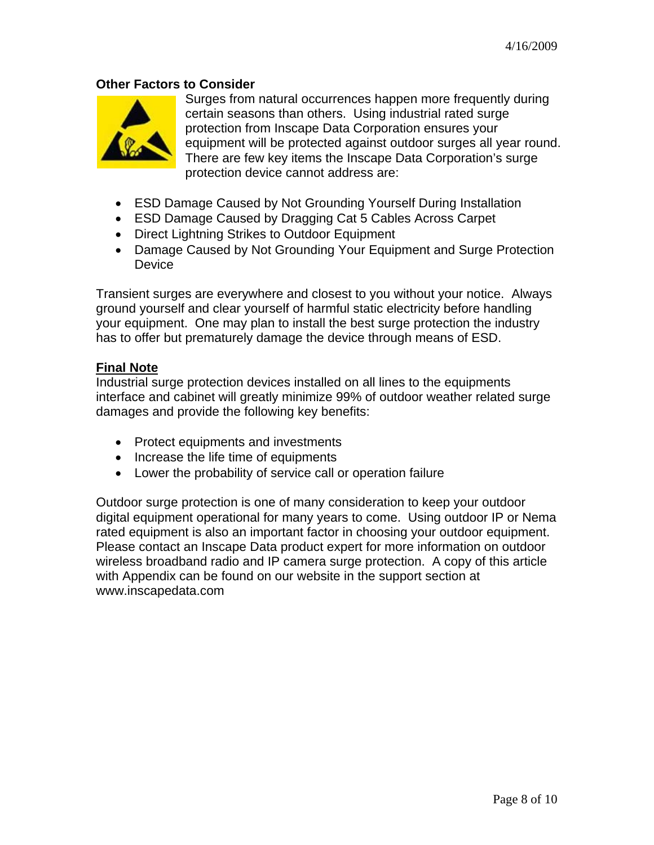#### **Other Factors to Consider**



Surges from natural occurrences happen more frequently during certain seasons than others. Using industrial rated surge protection from Inscape Data Corporation ensures your equipment will be protected against outdoor surges all year round. There are few key items the Inscape Data Corporation's surge protection device cannot address are:

- ESD Damage Caused by Not Grounding Yourself During Installation
- ESD Damage Caused by Dragging Cat 5 Cables Across Carpet
- Direct Lightning Strikes to Outdoor Equipment
- Damage Caused by Not Grounding Your Equipment and Surge Protection **Device**

Transient surges are everywhere and closest to you without your notice. Always ground yourself and clear yourself of harmful static electricity before handling your equipment. One may plan to install the best surge protection the industry has to offer but prematurely damage the device through means of ESD.

#### **Final Note**

Industrial surge protection devices installed on all lines to the equipments interface and cabinet will greatly minimize 99% of outdoor weather related surge damages and provide the following key benefits:

- Protect equipments and investments
- Increase the life time of equipments
- Lower the probability of service call or operation failure

Outdoor surge protection is one of many consideration to keep your outdoor digital equipment operational for many years to come. Using outdoor IP or Nema rated equipment is also an important factor in choosing your outdoor equipment. Please contact an Inscape Data product expert for more information on outdoor wireless broadband radio and IP camera surge protection. A copy of this article with Appendix can be found on our website in the support section at www.inscapedata.com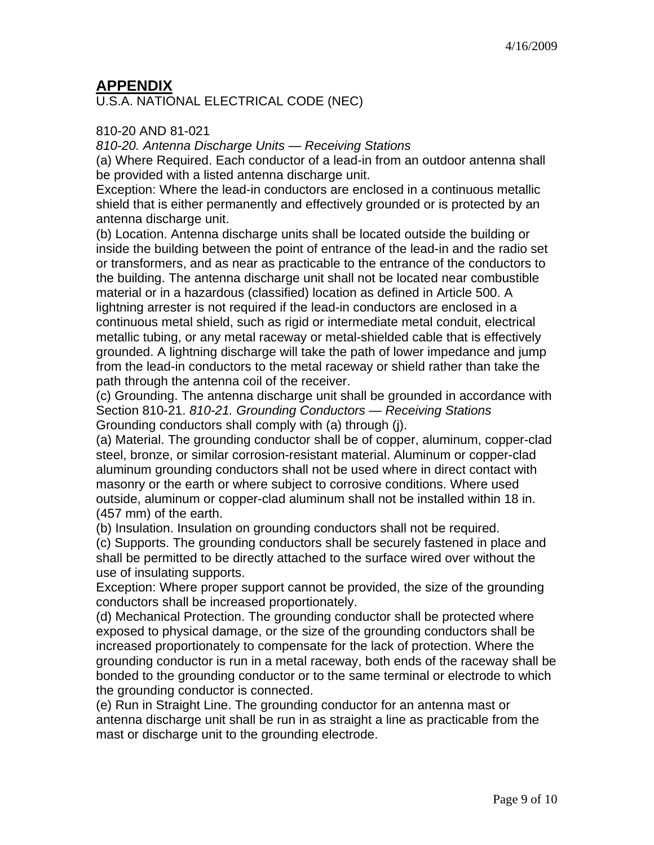# **APPENDIX**

U.S.A. NATIONAL ELECTRICAL CODE (NEC)

### 810-20 AND 81-021

*810-20. Antenna Discharge Units — Receiving Stations* 

(a) Where Required. Each conductor of a lead-in from an outdoor antenna shall be provided with a listed antenna discharge unit.

Exception: Where the lead-in conductors are enclosed in a continuous metallic shield that is either permanently and effectively grounded or is protected by an antenna discharge unit.

(b) Location. Antenna discharge units shall be located outside the building or inside the building between the point of entrance of the lead-in and the radio set or transformers, and as near as practicable to the entrance of the conductors to the building. The antenna discharge unit shall not be located near combustible material or in a hazardous (classified) location as defined in Article 500. A lightning arrester is not required if the lead-in conductors are enclosed in a continuous metal shield, such as rigid or intermediate metal conduit, electrical metallic tubing, or any metal raceway or metal-shielded cable that is effectively grounded. A lightning discharge will take the path of lower impedance and jump from the lead-in conductors to the metal raceway or shield rather than take the path through the antenna coil of the receiver.

(c) Grounding. The antenna discharge unit shall be grounded in accordance with Section 810-21. *810-21. Grounding Conductors — Receiving Stations*  Grounding conductors shall comply with (a) through (j).

(a) Material. The grounding conductor shall be of copper, aluminum, copper-clad steel, bronze, or similar corrosion-resistant material. Aluminum or copper-clad aluminum grounding conductors shall not be used where in direct contact with masonry or the earth or where subject to corrosive conditions. Where used outside, aluminum or copper-clad aluminum shall not be installed within 18 in. (457 mm) of the earth.

(b) Insulation. Insulation on grounding conductors shall not be required.

(c) Supports. The grounding conductors shall be securely fastened in place and shall be permitted to be directly attached to the surface wired over without the use of insulating supports.

Exception: Where proper support cannot be provided, the size of the grounding conductors shall be increased proportionately.

(d) Mechanical Protection. The grounding conductor shall be protected where exposed to physical damage, or the size of the grounding conductors shall be increased proportionately to compensate for the lack of protection. Where the grounding conductor is run in a metal raceway, both ends of the raceway shall be bonded to the grounding conductor or to the same terminal or electrode to which the grounding conductor is connected.

(e) Run in Straight Line. The grounding conductor for an antenna mast or antenna discharge unit shall be run in as straight a line as practicable from the mast or discharge unit to the grounding electrode.